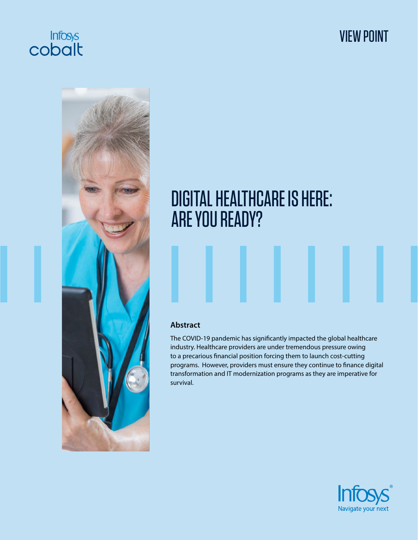

# VIEW POINT



# DIGITAL HEALTHCARE IS HERE: ARE YOU READY?

#### **Abstract**

The COVID-19 pandemic has significantly impacted the global healthcare industry. Healthcare providers are under tremendous pressure owing to a precarious financial position forcing them to launch cost-cutting programs. However, providers must ensure they continue to finance digital transformation and IT modernization programs as they are imperative for survival.

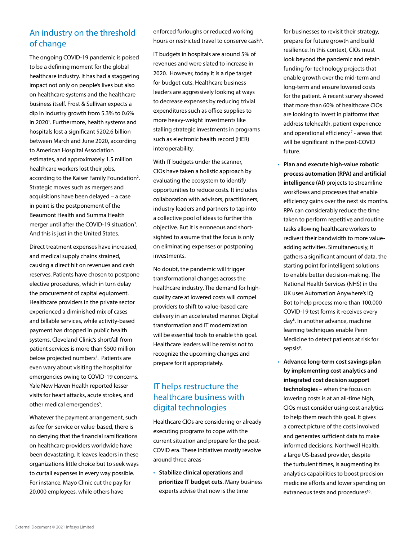# An industry on the threshold of change

The ongoing COVID-19 pandemic is poised to be a defining moment for the global healthcare industry. It has had a staggering impact not only on people's lives but also on healthcare systems and the healthcare business itself. Frost & Sullivan expects a dip in industry growth from 5.3% to 0.6% in 2020<sup>1</sup>. Furthermore, health systems and hospitals lost a significant \$202.6 billion between March and June 2020, according to American Hospital Association estimates, and approximately 1.5 million healthcare workers lost their jobs, according to the Kaiser Family Foundation<sup>2</sup>. Strategic moves such as mergers and acquisitions have been delayed – a case in point is the postponement of the Beaumont Health and Summa Health merger until after the COVID-19 situation<sup>3</sup>. And this is just in the United States.

Direct treatment expenses have increased, and medical supply chains strained, causing a direct hit on revenues and cash reserves. Patients have chosen to postpone elective procedures, which in turn delay the procurement of capital equipment. Healthcare providers in the private sector experienced a diminished mix of cases and billable services, while activity-based payment has dropped in public health systems. Cleveland Clinic's shortfall from patient services is more than \$500 million below projected numbers<sup>4</sup>. Patients are even wary about visiting the hospital for emergencies owing to COVID-19 concerns. Yale New Haven Health reported lesser visits for heart attacks, acute strokes, and other medical emergencies<sup>5</sup>.

Whatever the payment arrangement, such as fee-for-service or value-based, there is no denying that the financial ramifications on healthcare providers worldwide have been devastating. It leaves leaders in these organizations little choice but to seek ways to curtail expenses in every way possible. For instance, Mayo Clinic cut the pay for 20,000 employees, while others have

enforced furloughs or reduced working hours or restricted travel to conserve cash<sup>6</sup>.

IT budgets in hospitals are around 5% of revenues and were slated to increase in 2020. However, today it is a ripe target for budget cuts. Healthcare business leaders are aggressively looking at ways to decrease expenses by reducing trivial expenditures such as office supplies to more heavy-weight investments like stalling strategic investments in programs such as electronic health record (HER) interoperability.

With IT budgets under the scanner, CIOs have taken a holistic approach by evaluating the ecosystem to identify opportunities to reduce costs. It includes collaboration with advisors, practitioners, industry leaders and partners to tap into a collective pool of ideas to further this objective. But it is erroneous and shortsighted to assume that the focus is only on eliminating expenses or postponing investments.

No doubt, the pandemic will trigger transformational changes across the healthcare industry. The demand for highquality care at lowered costs will compel providers to shift to value-based care delivery in an accelerated manner. Digital transformation and IT modernization will be essential tools to enable this goal. Healthcare leaders will be remiss not to recognize the upcoming changes and prepare for it appropriately.

# IT helps restructure the healthcare business with digital technologies

Healthcare CIOs are considering or already executing programs to cope with the current situation and prepare for the post-COVID era. These initiatives mostly revolve around three areas -

• **Stabilize clinical operations and prioritize IT budget cuts.** Many business experts advise that now is the time

for businesses to revisit their strategy, prepare for future growth and build resilience. In this context, CIOs must look beyond the pandemic and retain funding for technology projects that enable growth over the mid-term and long-term and ensure lowered costs for the patient. A recent survey showed that more than 60% of healthcare CIOs are looking to invest in platforms that address telehealth, patient experience and operational efficiency<sup> $7$ </sup> - areas that will be significant in the post-COVID future.

- **Plan and execute high-value robotic process automation (RPA) and artificial intelligence (AI)** projects to streamline workflows and processes that enable efficiency gains over the next six months. RPA can considerably reduce the time taken to perform repetitive and routine tasks allowing healthcare workers to redivert their bandwidth to more valueadding activities. Simultaneously, it gathers a significant amount of data, the starting point for intelligent solutions to enable better decision-making. The National Health Services (NHS) in the UK uses Automation Anywhere's IQ Bot to help process more than 100,000 COVID-19 test forms it receives every day<sup>8</sup>. In another advance, machine learning techniques enable Penn Medicine to detect patients at risk for sepsis<sup>9</sup>.
- **Advance long-term cost savings plan by implementing cost analytics and integrated cost decision support technologies** – when the focus on lowering costs is at an all-time high, CIOs must consider using cost analytics to help them reach this goal. It gives a correct picture of the costs involved and generates sufficient data to make informed decisions. Northwell Health, a large US-based provider, despite the turbulent times, is augmenting its analytics capabilities to boost precision medicine efforts and lower spending on extraneous tests and procedures<sup>10</sup>.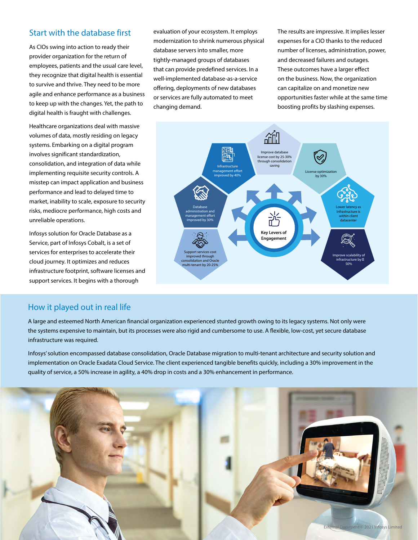#### Start with the database first

As CIOs swing into action to ready their provider organization for the return of employees, patients and the usual care level, they recognize that digital health is essential to survive and thrive. They need to be more agile and enhance performance as a business to keep up with the changes. Yet, the path to digital health is fraught with challenges.

Healthcare organizations deal with massive volumes of data, mostly residing on legacy systems. Embarking on a digital program involves significant standardization, consolidation, and integration of data while implementing requisite security controls. A misstep can impact application and business performance and lead to delayed time to market, inability to scale, exposure to security risks, mediocre performance, high costs and unreliable operations.

Infosys solution for Oracle Database as a Service, part of Infosys Cobalt, is a set of services for enterprises to accelerate their cloud journey. It optimizes and reduces infrastructure footprint, software licenses and support services. It begins with a thorough

evaluation of your ecosystem. It employs modernization to shrink numerous physical database servers into smaller, more tightly-managed groups of databases that can provide predefined services. In a well-implemented database-as-a-service offering, deployments of new databases or services are fully automated to meet changing demand.

The results are impressive. It implies lesser expenses for a CIO thanks to the reduced number of licenses, administration, power, and decreased failures and outages. These outcomes have a larger effect on the business. Now, the organization can capitalize on and monetize new opportunities faster while at the same time boosting profits by slashing expenses.



#### How it played out in real life

A large and esteemed North American financial organization experienced stunted growth owing to its legacy systems. Not only were the systems expensive to maintain, but its processes were also rigid and cumbersome to use. A flexible, low-cost, yet secure database infrastructure was required.

Infosys' solution encompassed database consolidation, Oracle Database migration to multi-tenant architecture and security solution and implementation on Oracle Exadata Cloud Service. The client experienced tangible benefits quickly, including a 30% improvement in the quality of service, a 50% increase in agility, a 40% drop in costs and a 30% enhancement in performance.